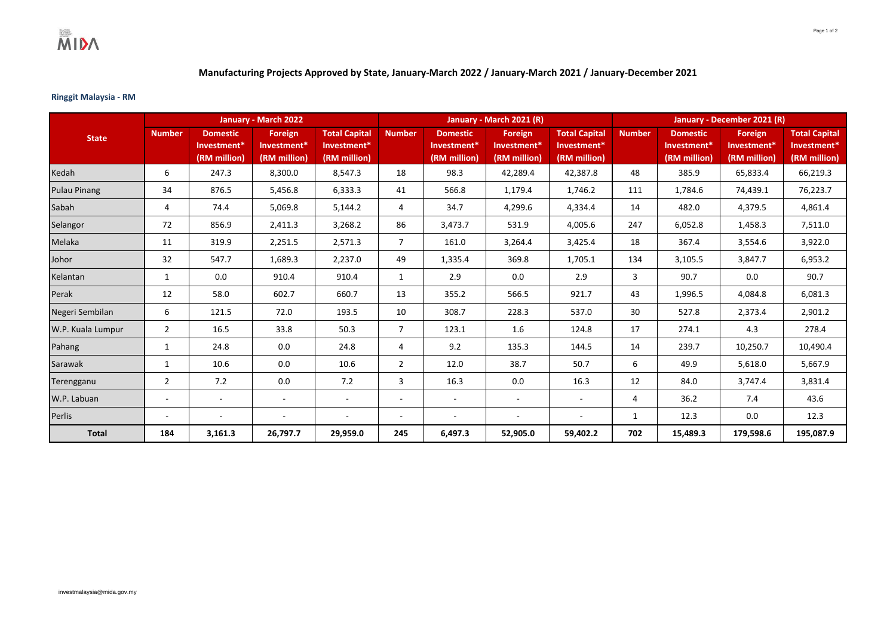## **Manufacturing Projects Approved by State, January-March 2022 / January-March 2021 / January-December 2021**

## **Ringgit Malaysia - RM**

|                     | January - March 2022     |                                                            |                                        |                                                     |                          |                                                | January - March 2021 (R)               |                                                     | January - December 2021 (R) |                                                            |                                        |                                                     |
|---------------------|--------------------------|------------------------------------------------------------|----------------------------------------|-----------------------------------------------------|--------------------------|------------------------------------------------|----------------------------------------|-----------------------------------------------------|-----------------------------|------------------------------------------------------------|----------------------------------------|-----------------------------------------------------|
| <b>State</b>        | <b>Number</b>            | <b>Domestic</b><br>Investment <sup>*</sup><br>(RM million) | Foreign<br>Investment*<br>(RM million) | <b>Total Capital</b><br>Investment*<br>(RM million) | <b>Number</b>            | <b>Domestic</b><br>Investment*<br>(RM million) | Foreign<br>Investment*<br>(RM million) | <b>Total Capital</b><br>Investment*<br>(RM million) | <b>Number</b>               | <b>Domestic</b><br>Investment <sup>*</sup><br>(RM million) | Foreign<br>Investment*<br>(RM million) | <b>Total Capital</b><br>Investment*<br>(RM million) |
| Kedah               | 6                        | 247.3                                                      | 8,300.0                                | 8,547.3                                             | 18                       | 98.3                                           | 42,289.4                               | 42,387.8                                            | 48                          | 385.9                                                      | 65,833.4                               | 66,219.3                                            |
| <b>Pulau Pinang</b> | 34                       | 876.5                                                      | 5,456.8                                | 6,333.3                                             | 41                       | 566.8                                          | 1,179.4                                | 1,746.2                                             | 111                         | 1,784.6                                                    | 74,439.1                               | 76,223.7                                            |
| Sabah               | 4                        | 74.4                                                       | 5,069.8                                | 5,144.2                                             | 4                        | 34.7                                           | 4,299.6                                | 4,334.4                                             | 14                          | 482.0                                                      | 4,379.5                                | 4,861.4                                             |
| Selangor            | 72                       | 856.9                                                      | 2,411.3                                | 3,268.2                                             | 86                       | 3,473.7                                        | 531.9                                  | 4,005.6                                             | 247                         | 6,052.8                                                    | 1,458.3                                | 7,511.0                                             |
| Melaka              | 11                       | 319.9                                                      | 2,251.5                                | 2,571.3                                             | $\overline{7}$           | 161.0                                          | 3,264.4                                | 3,425.4                                             | 18                          | 367.4                                                      | 3,554.6                                | 3,922.0                                             |
| Johor               | 32                       | 547.7                                                      | 1,689.3                                | 2,237.0                                             | 49                       | 1,335.4                                        | 369.8                                  | 1,705.1                                             | 134                         | 3,105.5                                                    | 3.847.7                                | 6,953.2                                             |
| Kelantan            | 1                        | 0.0                                                        | 910.4                                  | 910.4                                               | $\mathbf{1}$             | 2.9                                            | 0.0                                    | 2.9                                                 | 3                           | 90.7                                                       | 0.0                                    | 90.7                                                |
| Perak               | 12                       | 58.0                                                       | 602.7                                  | 660.7                                               | 13                       | 355.2                                          | 566.5                                  | 921.7                                               | 43                          | 1,996.5                                                    | 4,084.8                                | 6,081.3                                             |
| Negeri Sembilan     | 6                        | 121.5                                                      | 72.0                                   | 193.5                                               | 10                       | 308.7                                          | 228.3                                  | 537.0                                               | 30                          | 527.8                                                      | 2,373.4                                | 2,901.2                                             |
| W.P. Kuala Lumpur   | $\overline{2}$           | 16.5                                                       | 33.8                                   | 50.3                                                | $\overline{7}$           | 123.1                                          | 1.6                                    | 124.8                                               | 17                          | 274.1                                                      | 4.3                                    | 278.4                                               |
| Pahang              | $\mathbf{1}$             | 24.8                                                       | 0.0                                    | 24.8                                                | 4                        | 9.2                                            | 135.3                                  | 144.5                                               | 14                          | 239.7                                                      | 10,250.7                               | 10,490.4                                            |
| Sarawak             | 1                        | 10.6                                                       | 0.0                                    | 10.6                                                | $\overline{2}$           | 12.0                                           | 38.7                                   | 50.7                                                | 6                           | 49.9                                                       | 5,618.0                                | 5,667.9                                             |
| Terengganu          | $\overline{2}$           | 7.2                                                        | 0.0                                    | 7.2                                                 | 3                        | 16.3                                           | 0.0                                    | 16.3                                                | 12                          | 84.0                                                       | 3,747.4                                | 3,831.4                                             |
| W.P. Labuan         | $\overline{\phantom{a}}$ | $\sim$                                                     | $\overline{\phantom{a}}$               | $\sim$                                              | $\overline{\phantom{a}}$ | $\overline{\phantom{a}}$                       | $\sim$                                 | $\overline{\phantom{a}}$                            | 4                           | 36.2                                                       | 7.4                                    | 43.6                                                |
| Perlis              | $\overline{\phantom{a}}$ | ۰                                                          | $\overline{\phantom{a}}$               | $\overline{\phantom{a}}$                            | $\overline{\phantom{a}}$ | $\overline{\phantom{a}}$                       | $\sim$                                 | $\overline{\phantom{a}}$                            | 1                           | 12.3                                                       | 0.0                                    | 12.3                                                |
| <b>Total</b>        | 184                      | 3,161.3                                                    | 26,797.7                               | 29,959.0                                            | 245                      | 6,497.3                                        | 52,905.0                               | 59,402.2                                            | 702                         | 15,489.3                                                   | 179,598.6                              | 195,087.9                                           |